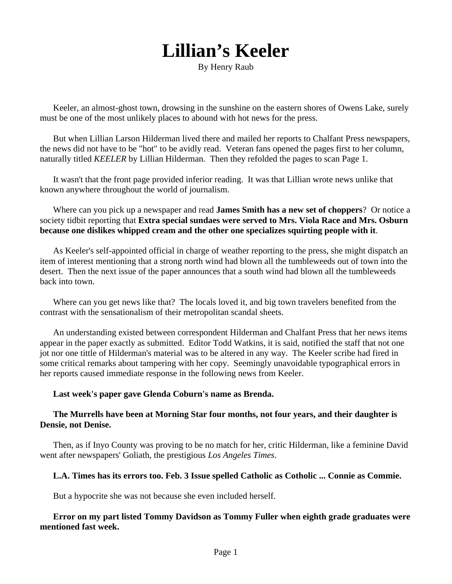# **Lillian's Keeler**

By Henry Raub

Keeler, an almost-ghost town, drowsing in the sunshine on the eastern shores of Owens Lake, surely must be one of the most unlikely places to abound with hot news for the press.

But when Lillian Larson Hilderman lived there and mailed her reports to Chalfant Press newspapers, the news did not have to be "hot" to be avidly read. Veteran fans opened the pages first to her column, naturally titled *KEELER* by Lillian Hilderman. Then they refolded the pages to scan Page 1.

It wasn't that the front page provided inferior reading. It was that Lillian wrote news unlike that known anywhere throughout the world of journalism.

Where can you pick up a newspaper and read **James Smith has a new set of choppers**? Or notice a society tidbit reporting that **Extra special sundaes were served to Mrs. Viola Race and Mrs. Osburn because one dislikes whipped cream and the other one specializes squirting people with it**.

As Keeler's self-appointed official in charge of weather reporting to the press, she might dispatch an item of interest mentioning that a strong north wind had blown all the tumbleweeds out of town into the desert. Then the next issue of the paper announces that a south wind had blown all the tumbleweeds back into town.

Where can you get news like that? The locals loved it, and big town travelers benefited from the contrast with the sensationalism of their metropolitan scandal sheets.

An understanding existed between correspondent Hilderman and Chalfant Press that her news items appear in the paper exactly as submitted. Editor Todd Watkins, it is said, notified the staff that not one jot nor one tittle of Hilderman's material was to be altered in any way. The Keeler scribe had fired in some critical remarks about tampering with her copy. Seemingly unavoidable typographical errors in her reports caused immediate response in the following news from Keeler.

#### **Last week's paper gave Glenda Coburn's name as Brenda.**

# **The Murrells have been at Morning Star four months, not four years, and their daughter is Densie, not Denise.**

Then, as if Inyo County was proving to be no match for her, critic Hilderman, like a feminine David went after newspapers' Goliath, the prestigious *Los Angeles Times*.

# **L.A. Times has its errors too. Feb. 3 Issue spelled Catholic as Cotholic ... Connie as Commie.**

But a hypocrite she was not because she even included herself.

# **Error on my part listed Tommy Davidson as Tommy Fuller when eighth grade graduates were mentioned fast week.**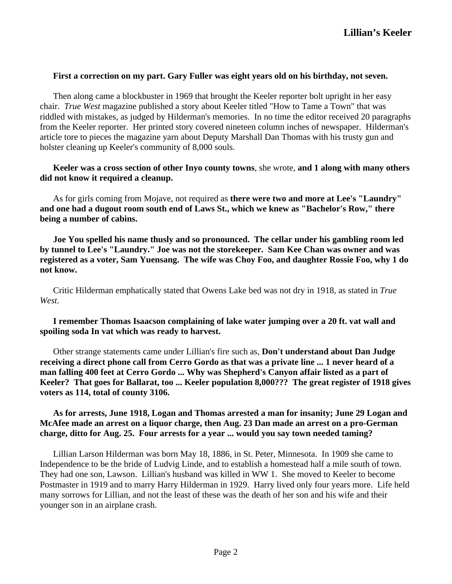#### **First a correction on my part. Gary Fuller was eight years old on his birthday, not seven.**

Then along came a blockbuster in 1969 that brought the Keeler reporter bolt upright in her easy chair. *True West* magazine published a story about Keeler titled "How to Tame a Town" that was riddled with mistakes, as judged by Hilderman's memories. In no time the editor received 20 paragraphs from the Keeler reporter. Her printed story covered nineteen column inches of newspaper. Hilderman's article tore to pieces the magazine yarn about Deputy Marshall Dan Thomas with his trusty gun and holster cleaning up Keeler's community of 8,000 souls.

# **Keeler was a cross section of other Inyo county towns**, she wrote, **and 1 along with many others did not know it required a cleanup.**

As for girls coming from Mojave, not required as **there were two and more at Lee's "Laundry" and one had a dugout room south end of Laws St., which we knew as "Bachelor's Row," there being a number of cabins.**

**Joe You spelled his name thusly and so pronounced. The cellar under his gambling room led by tunnel to Lee's "Laundry." Joe was not the storekeeper. Sam Kee Chan was owner and was registered as a voter, Sam Yuensang. The wife was Choy Foo, and daughter Rossie Foo, why 1 do not know.**

Critic Hilderman emphatically stated that Owens Lake bed was not dry in 1918, as stated in *True West*.

**I remember Thomas Isaacson complaining of lake water jumping over a 20 ft. vat wall and spoiling soda In vat which was ready to harvest.**

Other strange statements came under Lillian's fire such as, **Don't understand about Dan Judge receiving a direct phone call from Cerro Gordo as that was a private line ... 1 never heard of a man falling 400 feet at Cerro Gordo ... Why was Shepherd's Canyon affair listed as a part of Keeler? That goes for Ballarat, too ... Keeler population 8,000??? The great register of 1918 gives voters as 114, total of county 3106.**

# **As for arrests, June 1918, Logan and Thomas arrested a man for insanity; June 29 Logan and McAfee made an arrest on a liquor charge, then Aug. 23 Dan made an arrest on a pro-German charge, ditto for Aug. 25. Four arrests for a year ... would you say town needed taming?**

Lillian Larson Hilderman was born May 18, 1886, in St. Peter, Minnesota. In 1909 she came to Independence to be the bride of Ludvig Linde, and to establish a homestead half a mile south of town. They had one son, Lawson. Lillian's husband was killed in WW 1. She moved to Keeler to become Postmaster in 1919 and to marry Harry Hilderman in 1929. Harry lived only four years more. Life held many sorrows for Lillian, and not the least of these was the death of her son and his wife and their younger son in an airplane crash.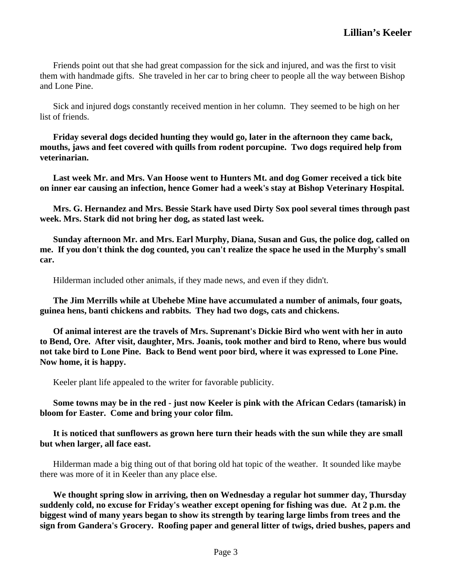Friends point out that she had great compassion for the sick and injured, and was the first to visit them with handmade gifts. She traveled in her car to bring cheer to people all the way between Bishop and Lone Pine.

Sick and injured dogs constantly received mention in her column. They seemed to be high on her list of friends.

**Friday several dogs decided hunting they would go, later in the afternoon they came back, mouths, jaws and feet covered with quills from rodent porcupine. Two dogs required help from veterinarian.**

**Last week Mr. and Mrs. Van Hoose went to Hunters Mt. and dog Gomer received a tick bite on inner ear causing an infection, hence Gomer had a week's stay at Bishop Veterinary Hospital.**

**Mrs. G. Hernandez and Mrs. Bessie Stark have used Dirty Sox pool several times through past week. Mrs. Stark did not bring her dog, as stated last week.**

**Sunday afternoon Mr. and Mrs. Earl Murphy, Diana, Susan and Gus, the police dog, called on me. If you don't think the dog counted, you can't realize the space he used in the Murphy's small car.**

Hilderman included other animals, if they made news, and even if they didn't.

**The Jim Merrills while at Ubehebe Mine have accumulated a number of animals, four goats, guinea hens, banti chickens and rabbits. They had two dogs, cats and chickens.**

**Of animal interest are the travels of Mrs. Suprenant's Dickie Bird who went with her in auto to Bend, Ore. After visit, daughter, Mrs. Joanis, took mother and bird to Reno, where bus would not take bird to Lone Pine. Back to Bend went poor bird, where it was expressed to Lone Pine. Now home, it is happy.**

Keeler plant life appealed to the writer for favorable publicity.

**Some towns may be in the red - just now Keeler is pink with the African Cedars (tamarisk) in bloom for Easter. Come and bring your color film.**

**It is noticed that sunflowers as grown here turn their heads with the sun while they are small but when larger, all face east.**

Hilderman made a big thing out of that boring old hat topic of the weather. It sounded like maybe there was more of it in Keeler than any place else.

**We thought spring slow in arriving, then on Wednesday a regular hot summer day, Thursday suddenly cold, no excuse for Friday's weather except opening for fishing was due. At 2 p.m. the biggest wind of many years began to show its strength by tearing large limbs from trees and the sign from Gandera's Grocery. Roofing paper and general litter of twigs, dried bushes, papers and**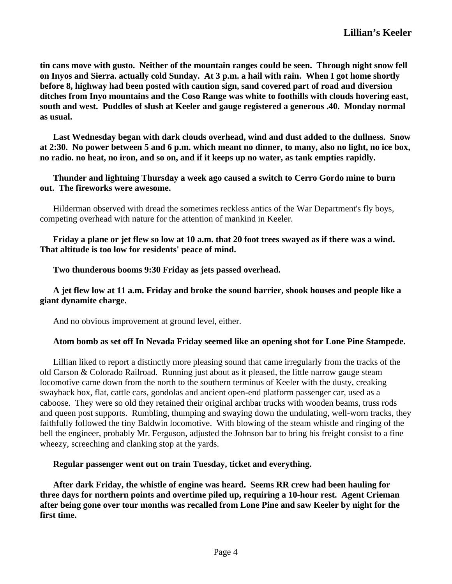**tin cans move with gusto. Neither of the mountain ranges could be seen. Through night snow fell on Inyos and Sierra. actually cold Sunday. At 3 p.m. a hail with rain. When I got home shortly before 8, highway had been posted with caution sign, sand covered part of road and diversion ditches from Inyo mountains and the Coso Range was white to foothills with clouds hovering east, south and west. Puddles of slush at Keeler and gauge registered a generous .40. Monday normal as usual.**

**Last Wednesday began with dark clouds overhead, wind and dust added to the dullness. Snow at 2:30. No power between 5 and 6 p.m. which meant no dinner, to many, also no light, no ice box, no radio. no heat, no iron, and so on, and if it keeps up no water, as tank empties rapidly.**

**Thunder and lightning Thursday a week ago caused a switch to Cerro Gordo mine to burn out. The fireworks were awesome.**

Hilderman observed with dread the sometimes reckless antics of the War Department's fly boys, competing overhead with nature for the attention of mankind in Keeler.

**Friday a plane or jet flew so low at 10 a.m. that 20 foot trees swayed as if there was a wind. That altitude is too low for residents' peace of mind.**

**Two thunderous booms 9:30 Friday as jets passed overhead.**

# **A jet flew low at 11 a.m. Friday and broke the sound barrier, shook houses and people like a giant dynamite charge.**

And no obvious improvement at ground level, either.

# **Atom bomb as set off In Nevada Friday seemed like an opening shot for Lone Pine Stampede.**

Lillian liked to report a distinctly more pleasing sound that came irregularly from the tracks of the old Carson & Colorado Railroad. Running just about as it pleased, the little narrow gauge steam locomotive came down from the north to the southern terminus of Keeler with the dusty, creaking swayback box, flat, cattle cars, gondolas and ancient open-end platform passenger car, used as a caboose. They were so old they retained their original archbar trucks with wooden beams, truss rods and queen post supports. Rumbling, thumping and swaying down the undulating, well-worn tracks, they faithfully followed the tiny Baldwin locomotive. With blowing of the steam whistle and ringing of the bell the engineer, probably Mr. Ferguson, adjusted the Johnson bar to bring his freight consist to a fine wheezy, screeching and clanking stop at the yards.

#### **Regular passenger went out on train Tuesday, ticket and everything.**

**After dark Friday, the whistle of engine was heard. Seems RR crew had been hauling for three days for northern points and overtime piled up, requiring a 10-hour rest. Agent Crieman after being gone over tour months was recalled from Lone Pine and saw Keeler by night for the first time.**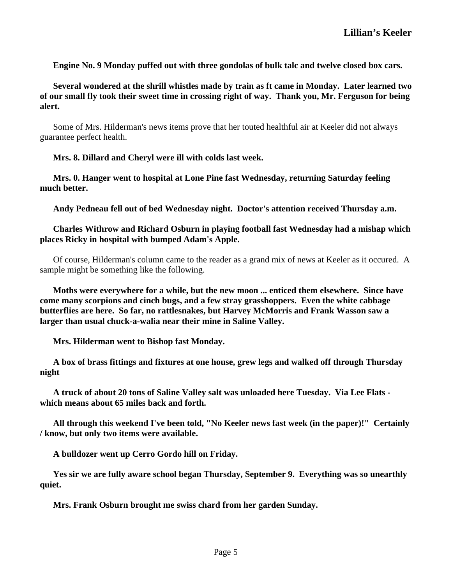**Engine No. 9 Monday puffed out with three gondolas of bulk talc and twelve closed box cars.**

**Several wondered at the shrill whistles made by train as ft came in Monday. Later learned two of our small fly took their sweet time in crossing right of way. Thank you, Mr. Ferguson for being alert.**

Some of Mrs. Hilderman's news items prove that her touted healthful air at Keeler did not always guarantee perfect health.

**Mrs. 8. Dillard and Cheryl were ill with colds last week.**

**Mrs. 0. Hanger went to hospital at Lone Pine fast Wednesday, returning Saturday feeling much better.**

**Andy Pedneau fell out of bed Wednesday night. Doctor's attention received Thursday a.m.**

# **Charles Withrow and Richard Osburn in playing football fast Wednesday had a mishap which places Ricky in hospital with bumped Adam's Apple.**

Of course, Hilderman's column came to the reader as a grand mix of news at Keeler as it occured. A sample might be something like the following.

**Moths were everywhere for a while, but the new moon ... enticed them elsewhere. Since have come many scorpions and cinch bugs, and a few stray grasshoppers. Even the white cabbage butterflies are here. So far, no rattlesnakes, but Harvey McMorris and Frank Wasson saw a larger than usual chuck-a-walia near their mine in Saline Valley.**

**Mrs. Hilderman went to Bishop fast Monday.**

**A box of brass fittings and fixtures at one house, grew legs and walked off through Thursday night**

**A truck of about 20 tons of Saline Valley salt was unloaded here Tuesday. Via Lee Flats which means about 65 miles back and forth.**

**All through this weekend I've been told, "No Keeler news fast week (in the paper)!" Certainly / know, but only two items were available.**

**A bulldozer went up Cerro Gordo hill on Friday.**

**Yes sir we are fully aware school began Thursday, September 9. Everything was so unearthly quiet.**

**Mrs. Frank Osburn brought me swiss chard from her garden Sunday.**